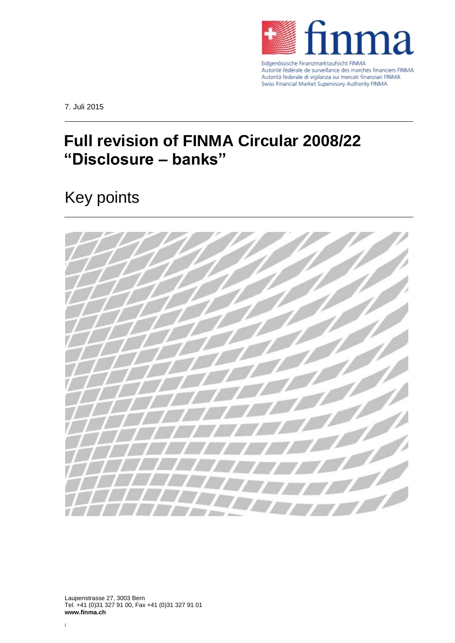

Autorité fédérale de surveillance des marchés financiers FINMA Autorità federale di vigilanza sui mercati finanziari FINMA Swiss Financial Market Supervisory Authority FINMA

7. Juli 2015

## **Full revision of FINMA Circular 2008/22 "Disclosure – banks"**

## Key points



Laupenstrasse 27, 3003 Bern Tel. +41 (0)31 327 91 00, Fax +41 (0)31 327 91 01 **www.finma.ch**